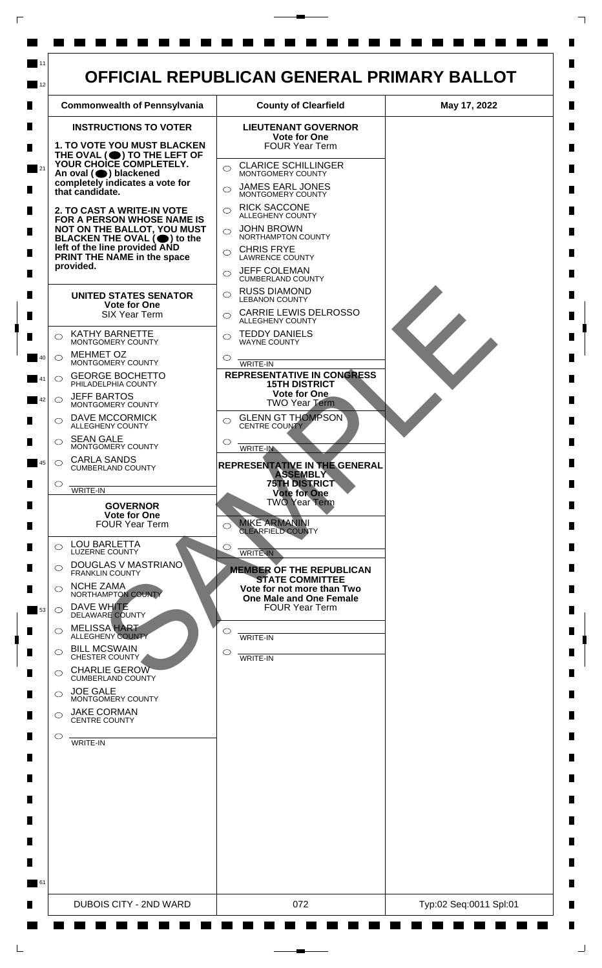

 $\mathsf{L}$ 

 $\Box$